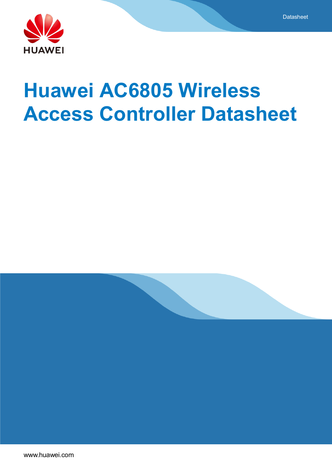

# **Huawei AC6805 Wireless Access Controller Datasheet**

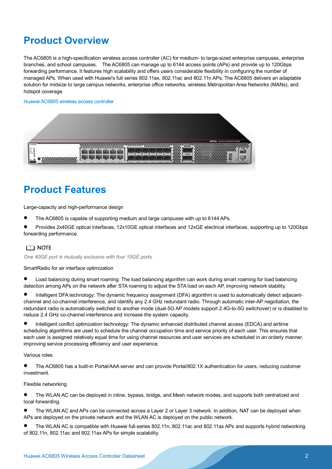# **Product Overview**

The AC6805 is a high-specification wireless access controller (AC) for medium- to large-sized enterprise campuses, enterprise branches, and school campuses. The AC6805 can manage up to 6144 access points (APs) and provide up to 120Gbps forwarding performance. It features high scalability and offers users considerable flexibility in configuring the number of managed APs. When used with Huawei's full series 802.11ax, 802.11ac and 802.11n APs, The AC6805 delivers an adaptable solution for midsize to large campus networks, enterprise office networks, wireless Metropolitan Area Networks (MANs), and hotspot coverage.

#### Huawei AC6805 wireless access controller

|          | <b><i>ALL EXHIBITION WALLS</i></b>                                                                                                              |
|----------|-------------------------------------------------------------------------------------------------------------------------------------------------|
| -------- |                                                                                                                                                 |
|          |                                                                                                                                                 |
|          | <b><i>But the first state of the first state and and the first state of the first state and determined by the first state</i></b><br>m<br>12222 |

# **Product Features**

Large-capacity and high-performance design

- The AC6805 is capable of supporting medium and large campuses with up to 6144 APs.
- Provides 2x40GE optical interfaces, 12x10GE optical interfaces and 12xGE electrical interfaces, supporting up to 120Gbps forwarding performance.

### $\cap$  note

*One 40GE port is mutually exclusive with four 10GE ports.*

#### SmartRadio for air interface optimization

- Load balancing during smart roaming: The load balancing algorithm can work during smart roaming for load balancing detection among APs on the network after STA roaming to adjust the STA load on each AP, improving network stability.
- Intelligent DFA technology: The dynamic frequency assignment (DFA) algorithm is used to automatically detect adjacentchannel and co-channel interference, and identify any 2.4 GHz redundant radio. Through automatic inter-AP negotiation, the redundant radio is automatically switched to another mode (dual-5G AP models support 2.4G-to-5G switchover) or is disabled to reduce 2.4 GHz co-channel interference and increase the system capacity.
- Intelligent conflict optimization technology: The dynamic enhanced distributed channel access (EDCA) and airtime scheduling algorithms are used to schedule the channel occupation time and service priority of each user. This ensures that each user is assigned relatively equal time for using channel resources and user services are scheduled in an orderly manner, improving service processing efficiency and user experience.

#### Various roles

 The AC6805 has a built-in Portal/AAA server and can provide Portal/802.1X authentication for users, reducing customer investment.

#### Flexible networking

- The WLAN AC can be deployed in inline, bypass, bridge, and Mesh network modes, and supports both centralized and local forwarding.
- The WLAN AC and APs can be connected across a Layer 2 or Layer 3 network. In addition, NAT can be deployed when APs are deployed on the private network and the WLAN AC is deployed on the public network.
- The WLAN AC is compatible with Huawei full-series 802.11n, 802.11ac and 802.11ax APs and supports hybrid networking of 802.11n, 802.11ac and 802.11ax APs for simple scalability.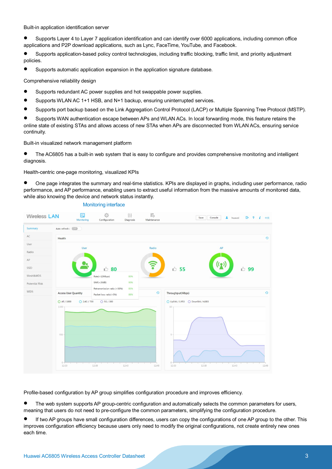Built-in application identification server

 Supports Layer 4 to Layer 7 application identification and can identify over 6000 applications, including common office applications and P2P download applications, such as Lync, FaceTime, YouTube, and Facebook.

 Supports application-based policy control technologies, including traffic blocking, traffic limit, and priority adjustment policies.

Supports automatic application expansion in the application signature database.

Comprehensive reliability design

- Supports redundant AC power supplies and hot swappable power supplies.
- Supports WLAN AC 1+1 HSB, and N+1 backup, ensuring uninterrupted services.
- Supports port backup based on the Link Aggregation Control Protocol (LACP) or Multiple Spanning Tree Protocol (MSTP).

 Supports WAN authentication escape between APs and WLAN ACs. In local forwarding mode, this feature retains the online state of existing STAs and allows access of new STAs when APs are disconnected from WLAN ACs, ensuring service continuity.

Built-in visualized network management platform

 The AC6805 has a built-in web system that is easy to configure and provides comprehensive monitoring and intelligent diagnosis.

Health-centric one-page monitoring, visualized KPIs

 One page integrates the summary and real-time statistics. KPIs are displayed in graphs, including user performance, radio performance, and AP performance, enabling users to extract useful information from the massive amounts of monitored data, while also knowing the device and network status instantly.



Profile-based configuration by AP group simplifies configuration procedure and improves efficiency.

• The web system supports AP group-centric configuration and automatically selects the common parameters for users, meaning that users do not need to pre-configure the common parameters, simplifying the configuration procedure.

 If two AP groups have small configuration differences, users can copy the configurations of one AP group to the other. This improves configuration efficiency because users only need to modify the original configurations, not create entirely new ones each time.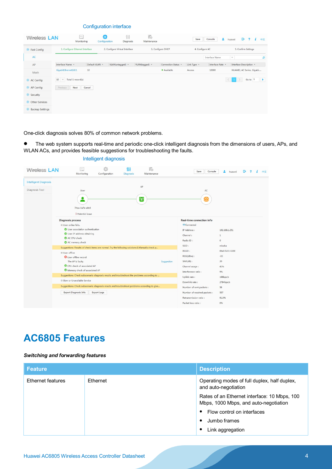#### Configuration interface

| Wireless LAN                    |                               | Literal<br>لتعت<br>Monitoring   | 铰<br>Configuration | N<br>Diagnosis                 | 戰<br>Maintenance |                     | Save        | A.<br>Console    | ₿<br>$\overline{2}$<br>huawei | 中文<br>x      |
|---------------------------------|-------------------------------|---------------------------------|--------------------|--------------------------------|------------------|---------------------|-------------|------------------|-------------------------------|--------------|
| $\odot$ Fast Config             |                               | 1. Configure Ethernet Interface |                    | 2. Configure Virtual Interface |                  | 3. Configure DHCP   |             | 4. Configure AC  | 5. Confirm Settings           |              |
| AC                              |                               |                                 |                    |                                |                  |                     |             | Interface Name   | $\overline{\phantom{a}}$      | $\Omega$     |
| AP                              | Interface Name A              |                                 | Default VLAN -     | VLAN(untagged) -               | VLAN(tagged) ~   | Connection Status 4 | Link Type - | Interface Rate A | Interface Description +       |              |
| Mesh                            | GigabitEthernet0/0/1          |                                 | 10                 |                                |                  | · Available         | Access      | 10000            | HUAWEI, AC Series, Gigabi     |              |
| AC Config                       | $10$ $\vee$ Total 1 record(s) |                                 |                    |                                |                  |                     |             | $\prec$          | Go to 1                       | $\mathbf{E}$ |
| AP Config                       | Previous                      | Cancel<br>Next                  |                    |                                |                  |                     |             |                  |                               |              |
| Security                        |                               |                                 |                    |                                |                  |                     |             |                  |                               |              |
| <b>O</b> Other Services         |                               |                                 |                    |                                |                  |                     |             |                  |                               |              |
| <b><i>O</i></b> Backup Settings |                               |                                 |                    |                                |                  |                     |             |                  |                               |              |

One-click diagnosis solves 80% of common network problems.

 The web system supports real-time and periodic one-click intelligent diagnosis from the dimensions of users, APs, and WLAN ACs, and provides feasible suggestions for troubleshooting the faults.



### Intelligent diagnosis

# **AC6805 Features**

### *Switching and forwarding features*

| <b>Feature</b>    |                 | <b>Description</b>                                                                    |
|-------------------|-----------------|---------------------------------------------------------------------------------------|
| Ethernet features | <b>Fthernet</b> | Operating modes of full duplex, half duplex,<br>and auto-negotiation                  |
|                   |                 | Rates of an Ethernet interface: 10 Mbps, 100<br>Mbps, 1000 Mbps, and auto-negotiation |
|                   |                 | Flow control on interfaces                                                            |
|                   |                 | Jumbo frames                                                                          |
|                   |                 | Link aggregation<br>٠                                                                 |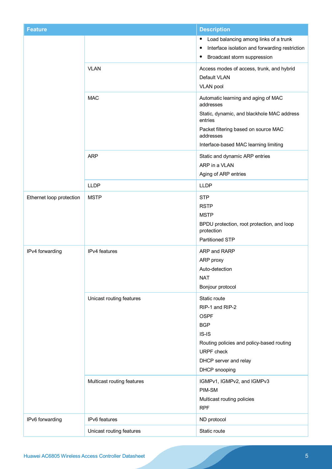| <b>Feature</b>           |                            | <b>Description</b>                                                                                                                                                                                      |
|--------------------------|----------------------------|---------------------------------------------------------------------------------------------------------------------------------------------------------------------------------------------------------|
|                          |                            | Load balancing among links of a trunk<br>$\bullet$<br>Interface isolation and forwarding restriction<br>٠<br>Broadcast storm suppression                                                                |
|                          | <b>VLAN</b>                | Access modes of access, trunk, and hybrid<br>Default VLAN<br><b>VLAN pool</b>                                                                                                                           |
|                          | <b>MAC</b>                 | Automatic learning and aging of MAC<br>addresses<br>Static, dynamic, and blackhole MAC address<br>entries<br>Packet filtering based on source MAC<br>addresses<br>Interface-based MAC learning limiting |
|                          | <b>ARP</b>                 | Static and dynamic ARP entries<br>ARP in a VLAN<br>Aging of ARP entries                                                                                                                                 |
|                          | <b>LLDP</b>                | <b>LLDP</b>                                                                                                                                                                                             |
| Ethernet loop protection | <b>MSTP</b>                | <b>STP</b><br><b>RSTP</b><br><b>MSTP</b><br>BPDU protection, root protection, and loop<br>protection<br>Partitioned STP                                                                                 |
| IPv4 forwarding          | IPv4 features              | ARP and RARP<br>ARP proxy<br>Auto-detection<br><b>NAT</b><br>Bonjour protocol                                                                                                                           |
|                          | Unicast routing features   | Static route<br>RIP-1 and RIP-2<br><b>OSPF</b><br><b>BGP</b><br>$IS-IS$<br>Routing policies and policy-based routing<br><b>URPF</b> check<br>DHCP server and relay<br>DHCP snooping                     |
|                          | Multicast routing features | IGMPv1, IGMPv2, and IGMPv3<br>PIM-SM<br>Multicast routing policies<br><b>RPF</b>                                                                                                                        |
| IPv6 forwarding          | IPv6 features              | ND protocol                                                                                                                                                                                             |
|                          | Unicast routing features   | Static route                                                                                                                                                                                            |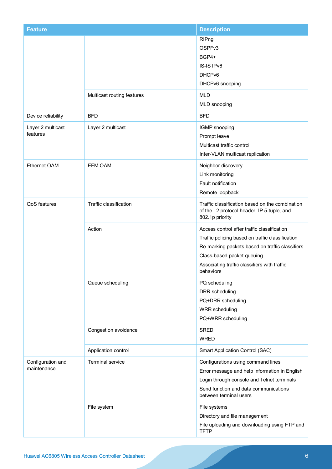| <b>Feature</b>                   |                            | <b>Description</b>                                                                                                                                                                                                                            |
|----------------------------------|----------------------------|-----------------------------------------------------------------------------------------------------------------------------------------------------------------------------------------------------------------------------------------------|
|                                  |                            | RIPng<br>OSPFv3<br>BGP4+<br>IS-IS IPv6<br>DHCP <sub>v6</sub><br>DHCPv6 snooping                                                                                                                                                               |
|                                  | Multicast routing features | <b>MLD</b><br>MLD snooping                                                                                                                                                                                                                    |
| Device reliability               | <b>BFD</b>                 | <b>BFD</b>                                                                                                                                                                                                                                    |
| Layer 2 multicast<br>features    | Layer 2 multicast          | IGMP snooping<br>Prompt leave<br>Multicast traffic control<br>Inter-VLAN multicast replication                                                                                                                                                |
| <b>Ethernet OAM</b>              | <b>EFM OAM</b>             | Neighbor discovery<br>Link monitoring<br>Fault notification<br>Remote loopback                                                                                                                                                                |
| QoS features                     | Traffic classification     | Traffic classification based on the combination<br>of the L2 protocol header, IP 5-tuple, and<br>802.1p priority                                                                                                                              |
|                                  | Action                     | Access control after traffic classification<br>Traffic policing based on traffic classification<br>Re-marking packets based on traffic classifiers<br>Class-based packet queuing<br>Associating traffic classifiers with traffic<br>behaviors |
|                                  | Queue scheduling           | PQ scheduling<br>DRR scheduling<br>PQ+DRR scheduling<br><b>WRR</b> scheduling<br>PQ+WRR scheduling                                                                                                                                            |
|                                  | Congestion avoidance       | <b>SRED</b><br><b>WRED</b>                                                                                                                                                                                                                    |
|                                  | Application control        | Smart Application Control (SAC)                                                                                                                                                                                                               |
| Configuration and<br>maintenance | <b>Terminal service</b>    | Configurations using command lines<br>Error message and help information in English<br>Login through console and Telnet terminals<br>Send function and data communications<br>between terminal users                                          |
|                                  | File system                | File systems<br>Directory and file management<br>File uploading and downloading using FTP and<br><b>TFTP</b>                                                                                                                                  |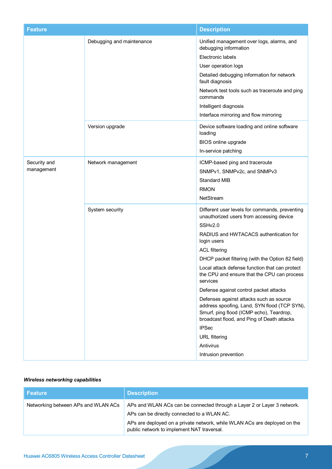| <b>Feature</b>             |                           | <b>Description</b>                                                                                                                                                                                                                                                                                                                                                                                                                                                                                                                                                                                                                                                  |
|----------------------------|---------------------------|---------------------------------------------------------------------------------------------------------------------------------------------------------------------------------------------------------------------------------------------------------------------------------------------------------------------------------------------------------------------------------------------------------------------------------------------------------------------------------------------------------------------------------------------------------------------------------------------------------------------------------------------------------------------|
|                            | Debugging and maintenance | Unified management over logs, alarms, and<br>debugging information<br>Electronic labels<br>User operation logs<br>Detailed debugging information for network<br>fault diagnosis<br>Network test tools such as traceroute and ping<br>commands<br>Intelligent diagnosis<br>Interface mirroring and flow mirroring                                                                                                                                                                                                                                                                                                                                                    |
|                            | Version upgrade           | Device software loading and online software<br>loading<br>BIOS online upgrade<br>In-service patching                                                                                                                                                                                                                                                                                                                                                                                                                                                                                                                                                                |
| Security and<br>management | Network management        | ICMP-based ping and traceroute<br>SNMPv1, SNMPv2c, and SNMPv3<br><b>Standard MIB</b><br><b>RMON</b><br>NetStream                                                                                                                                                                                                                                                                                                                                                                                                                                                                                                                                                    |
|                            | System security           | Different user levels for commands, preventing<br>unauthorized users from accessing device<br>SSHv2.0<br>RADIUS and HWTACACS authentication for<br>login users<br><b>ACL filtering</b><br>DHCP packet filtering (with the Option 82 field)<br>Local attack defense function that can protect<br>the CPU and ensure that the CPU can process<br>services<br>Defense against control packet attacks<br>Defenses against attacks such as source<br>address spoofing, Land, SYN flood (TCP SYN),<br>Smurf, ping flood (ICMP echo), Teardrop,<br>broadcast flood, and Ping of Death attacks<br><b>IPSec</b><br><b>URL</b> filtering<br>Antivirus<br>Intrusion prevention |

# *Wireless networking capabilities*

| <b>Feature</b>                      | <b>Description</b>                                                                                                                                                                                                                                |
|-------------------------------------|---------------------------------------------------------------------------------------------------------------------------------------------------------------------------------------------------------------------------------------------------|
| Networking between APs and WLAN ACs | APs and WLAN ACs can be connected through a Layer 2 or Layer 3 network.<br>APs can be directly connected to a WLAN AC.<br>APs are deployed on a private network, while WLAN ACs are deployed on the<br>public network to implement NAT traversal. |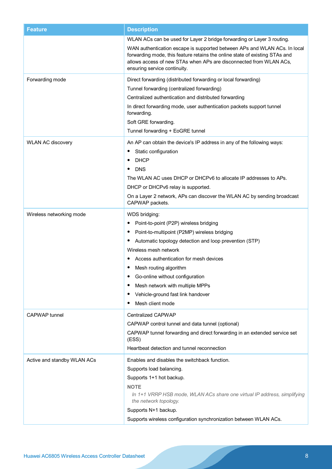| <b>Feature</b>              | <b>Description</b>                                                                                                                                                                                                                                             |
|-----------------------------|----------------------------------------------------------------------------------------------------------------------------------------------------------------------------------------------------------------------------------------------------------------|
|                             | WLAN ACs can be used for Layer 2 bridge forwarding or Layer 3 routing.                                                                                                                                                                                         |
|                             | WAN authentication escape is supported between APs and WLAN ACs. In local<br>forwarding mode, this feature retains the online state of existing STAs and<br>allows access of new STAs when APs are disconnected from WLAN ACs,<br>ensuring service continuity. |
| Forwarding mode             | Direct forwarding (distributed forwarding or local forwarding)                                                                                                                                                                                                 |
|                             | Tunnel forwarding (centralized forwarding)                                                                                                                                                                                                                     |
|                             | Centralized authentication and distributed forwarding                                                                                                                                                                                                          |
|                             | In direct forwarding mode, user authentication packets support tunnel                                                                                                                                                                                          |
|                             | forwarding.                                                                                                                                                                                                                                                    |
|                             | Soft GRE forwarding.<br>Tunnel forwarding + EoGRE tunnel                                                                                                                                                                                                       |
|                             |                                                                                                                                                                                                                                                                |
| <b>WLAN AC discovery</b>    | An AP can obtain the device's IP address in any of the following ways:                                                                                                                                                                                         |
|                             | Static configuration<br>٠                                                                                                                                                                                                                                      |
|                             | <b>DHCP</b><br>٠<br><b>DNS</b>                                                                                                                                                                                                                                 |
|                             | The WLAN AC uses DHCP or DHCPv6 to allocate IP addresses to APs.                                                                                                                                                                                               |
|                             | DHCP or DHCPv6 relay is supported.                                                                                                                                                                                                                             |
|                             | On a Layer 2 network, APs can discover the WLAN AC by sending broadcast                                                                                                                                                                                        |
|                             | CAPWAP packets.                                                                                                                                                                                                                                                |
| Wireless networking mode    | WDS bridging:                                                                                                                                                                                                                                                  |
|                             | Point-to-point (P2P) wireless bridging<br>$\bullet$                                                                                                                                                                                                            |
|                             | Point-to-multipoint (P2MP) wireless bridging<br>$\bullet$                                                                                                                                                                                                      |
|                             | Automatic topology detection and loop prevention (STP)<br>$\bullet$                                                                                                                                                                                            |
|                             | Wireless mesh network                                                                                                                                                                                                                                          |
|                             | Access authentication for mesh devices<br>٠                                                                                                                                                                                                                    |
|                             | Mesh routing algorithm<br>٠                                                                                                                                                                                                                                    |
|                             | Go-online without configuration                                                                                                                                                                                                                                |
|                             | Mesh network with multiple MPPs<br>$\bullet$<br>Vehicle-ground fast link handover                                                                                                                                                                              |
|                             | Mesh client mode<br>٠                                                                                                                                                                                                                                          |
| <b>CAPWAP</b> tunnel        |                                                                                                                                                                                                                                                                |
|                             | <b>Centralized CAPWAP</b><br>CAPWAP control tunnel and data tunnel (optional)                                                                                                                                                                                  |
|                             | CAPWAP tunnel forwarding and direct forwarding in an extended service set                                                                                                                                                                                      |
|                             | (ESS)                                                                                                                                                                                                                                                          |
|                             | Heartbeat detection and tunnel reconnection                                                                                                                                                                                                                    |
| Active and standby WLAN ACs | Enables and disables the switchback function.                                                                                                                                                                                                                  |
|                             | Supports load balancing.                                                                                                                                                                                                                                       |
|                             | Supports 1+1 hot backup.                                                                                                                                                                                                                                       |
|                             | <b>NOTE</b>                                                                                                                                                                                                                                                    |
|                             | In 1+1 VRRP HSB mode, WLAN ACs share one virtual IP address, simplifying<br>the network topology.                                                                                                                                                              |
|                             | Supports N+1 backup.                                                                                                                                                                                                                                           |
|                             | Supports wireless configuration synchronization between WLAN ACs.                                                                                                                                                                                              |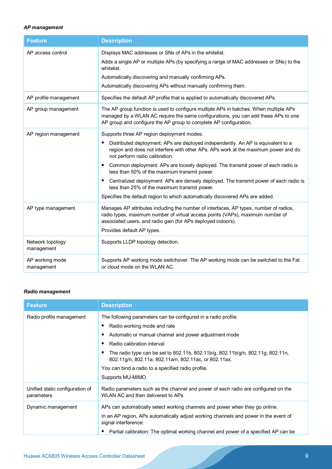### *AP management*

| <b>Feature</b>                 | <b>Description</b>                                                                                                                                                                                                                                                                                                                                                                                                                                                                                                                                                                                                             |
|--------------------------------|--------------------------------------------------------------------------------------------------------------------------------------------------------------------------------------------------------------------------------------------------------------------------------------------------------------------------------------------------------------------------------------------------------------------------------------------------------------------------------------------------------------------------------------------------------------------------------------------------------------------------------|
| AP access control              | Displays MAC addresses or SNs of APs in the whitelist.<br>Adds a single AP or multiple APs (by specifying a range of MAC addresses or SNs) to the<br>whitelist.<br>Automatically discovering and manually confirming APs.<br>Automatically discovering APs without manually confirming them.                                                                                                                                                                                                                                                                                                                                   |
| AP profile management          | Specifies the default AP profile that is applied to automatically discovered APs.                                                                                                                                                                                                                                                                                                                                                                                                                                                                                                                                              |
| AP group management            | The AP group function is used to configure multiple APs in batches. When multiple APs<br>managed by a WLAN AC require the same configurations, you can add these APs to one<br>AP group and configure the AP group to complete AP configuration.                                                                                                                                                                                                                                                                                                                                                                               |
| AP region management           | Supports three AP region deployment modes:<br>Distributed deployment: APs are deployed independently. An AP is equivalent to a<br>٠<br>region and does not interfere with other APs. APs work at the maximum power and do<br>not perform radio calibration.<br>Common deployment: APs are loosely deployed. The transmit power of each radio is<br>less than 50% of the maximum transmit power.<br>Centralized deployment: APs are densely deployed. The transmit power of each radio is<br>٠<br>less than 25% of the maximum transmit power.<br>Specifies the default region to which automatically discovered APs are added. |
| AP type management             | Manages AP attributes including the number of interfaces, AP types, number of radios,<br>radio types, maximum number of virtual access points (VAPs), maximum number of<br>associated users, and radio gain (for APs deployed indoors).<br>Provides default AP types.                                                                                                                                                                                                                                                                                                                                                          |
| Network topology<br>management | Supports LLDP topology detection.                                                                                                                                                                                                                                                                                                                                                                                                                                                                                                                                                                                              |
| AP working mode<br>management  | Supports AP working mode switchover. The AP working mode can be switched to the Fat<br>or cloud mode on the WLAN AC.                                                                                                                                                                                                                                                                                                                                                                                                                                                                                                           |

### *Radio management*

| <b>Feature</b>                                | <b>Description</b>                                                                                                                       |
|-----------------------------------------------|------------------------------------------------------------------------------------------------------------------------------------------|
| Radio profile management                      | The following parameters can be configured in a radio profile:                                                                           |
|                                               | Radio working mode and rate                                                                                                              |
|                                               | Automatic or manual channel and power adjustment mode                                                                                    |
|                                               | Radio calibration interval                                                                                                               |
|                                               | The radio type can be set to 802.11b, 802.11b/g, 802.11b/g/n, 802.11g, 802.11n,<br>802.11g/n, 802.11a, 802.11a/n, 802.11ac, or 802.11ax. |
|                                               | You can bind a radio to a specified radio profile.                                                                                       |
|                                               | Supports MU-MIMO.                                                                                                                        |
| Unified static configuration of<br>parameters | Radio parameters such as the channel and power of each radio are configured on the<br>WLAN AC and then delivered to APs.                 |
| Dynamic management                            | APs can automatically select working channels and power when they go online.                                                             |
|                                               | In an AP region, APs automatically adjust working channels and power in the event of<br>signal interference:                             |
|                                               | Partial calibration: The optimal working channel and power of a specified AP can be                                                      |
|                                               |                                                                                                                                          |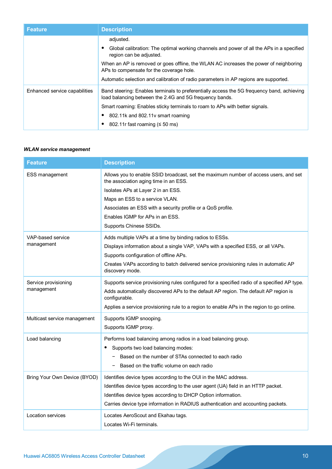| <b>Feature</b>                | <b>Description</b>                                                                                                                                    |
|-------------------------------|-------------------------------------------------------------------------------------------------------------------------------------------------------|
|                               | adjusted.                                                                                                                                             |
|                               | Global calibration: The optimal working channels and power of all the APs in a specified<br>region can be adjusted.                                   |
|                               | When an AP is removed or goes offline, the WLAN AC increases the power of neighboring<br>APs to compensate for the coverage hole.                     |
|                               | Automatic selection and calibration of radio parameters in AP regions are supported.                                                                  |
| Enhanced service capabilities | Band steering: Enables terminals to preferentially access the 5G frequency band, achieving<br>load balancing between the 2.4G and 5G frequency bands. |
|                               | Smart roaming: Enables sticky terminals to roam to APs with better signals.                                                                           |
|                               | 802.11k and 802.11y smart roaming                                                                                                                     |
|                               | 802.11r fast roaming ( $\leq$ 50 ms)                                                                                                                  |

#### *WLAN service management*

| <b>Feature</b>                     | <b>Description</b>                                                                                                                                                                                                                                                                                                                 |
|------------------------------------|------------------------------------------------------------------------------------------------------------------------------------------------------------------------------------------------------------------------------------------------------------------------------------------------------------------------------------|
| <b>ESS management</b>              | Allows you to enable SSID broadcast, set the maximum number of access users, and set<br>the association aging time in an ESS.<br>Isolates APs at Layer 2 in an ESS.<br>Maps an ESS to a service VLAN.<br>Associates an ESS with a security profile or a QoS profile.<br>Enables IGMP for APs in an ESS.<br>Supports Chinese SSIDs. |
| VAP-based service<br>management    | Adds multiple VAPs at a time by binding radios to ESSs.<br>Displays information about a single VAP, VAPs with a specified ESS, or all VAPs.<br>Supports configuration of offline APs.<br>Creates VAPs according to batch delivered service provisioning rules in automatic AP<br>discovery mode.                                   |
| Service provisioning<br>management | Supports service provisioning rules configured for a specified radio of a specified AP type.<br>Adds automatically discovered APs to the default AP region. The default AP region is<br>configurable.<br>Applies a service provisioning rule to a region to enable APs in the region to go online.                                 |
| Multicast service management       | Supports IGMP snooping.<br>Supports IGMP proxy.                                                                                                                                                                                                                                                                                    |
| Load balancing                     | Performs load balancing among radios in a load balancing group.<br>Supports two load balancing modes:<br>Based on the number of STAs connected to each radio<br>Based on the traffic volume on each radio                                                                                                                          |
| Bring Your Own Device (BYOD)       | Identifies device types according to the OUI in the MAC address.<br>Identifies device types according to the user agent (UA) field in an HTTP packet.<br>Identifies device types according to DHCP Option information.<br>Carries device type information in RADIUS authentication and accounting packets.                         |
| Location services                  | Locates AeroScout and Ekahau tags.<br>Locates Wi-Fi terminals.                                                                                                                                                                                                                                                                     |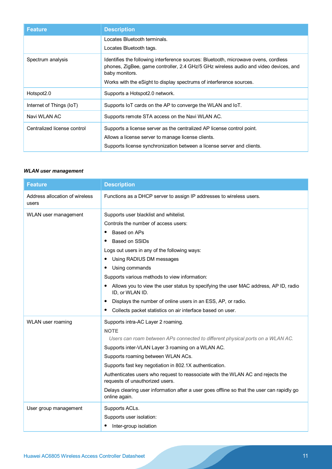| <b>Feature</b>              | <b>Description</b>                                                                                                                                                                                                                                                   |
|-----------------------------|----------------------------------------------------------------------------------------------------------------------------------------------------------------------------------------------------------------------------------------------------------------------|
|                             | Locates Bluetooth terminals.                                                                                                                                                                                                                                         |
|                             | Locates Bluetooth tags.                                                                                                                                                                                                                                              |
| Spectrum analysis           | Identifies the following interference sources: Bluetooth, microwave ovens, cordless<br>phones, ZigBee, game controller, 2.4 GHz/5 GHz wireless audio and video devices, and<br>baby monitors.<br>Works with the eSight to display spectrums of interference sources. |
|                             |                                                                                                                                                                                                                                                                      |
| Hotspot <sub>2.0</sub>      | Supports a Hotspot 2.0 network.                                                                                                                                                                                                                                      |
| Internet of Things (IoT)    | Supports IoT cards on the AP to converge the WLAN and IoT.                                                                                                                                                                                                           |
| Navi WLAN AC                | Supports remote STA access on the Navi WLAN AC.                                                                                                                                                                                                                      |
| Centralized license control | Supports a license server as the centralized AP license control point.                                                                                                                                                                                               |
|                             | Allows a license server to manage license clients.                                                                                                                                                                                                                   |
|                             | Supports license synchronization between a license server and clients.                                                                                                                                                                                               |

### *WLAN user management*

| <b>Feature</b>                          | <b>Description</b>                                                                                                                                                                                                                                                                                                                                                                                                                                                                                                             |
|-----------------------------------------|--------------------------------------------------------------------------------------------------------------------------------------------------------------------------------------------------------------------------------------------------------------------------------------------------------------------------------------------------------------------------------------------------------------------------------------------------------------------------------------------------------------------------------|
| Address allocation of wireless<br>users | Functions as a DHCP server to assign IP addresses to wireless users.                                                                                                                                                                                                                                                                                                                                                                                                                                                           |
| WLAN user management                    | Supports user blacklist and whitelist.<br>Controls the number of access users:<br>Based on APs<br>$\bullet$<br>Based on SSIDs<br>٠<br>Logs out users in any of the following ways:<br>Using RADIUS DM messages<br>٠<br>Using commands<br>٠<br>Supports various methods to view information:<br>Allows you to view the user status by specifying the user MAC address, AP ID, radio<br>٠<br>ID, or WLAN ID.<br>Displays the number of online users in an ESS, AP, or radio.<br>٠                                                |
|                                         | Collects packet statistics on air interface based on user.<br>٠                                                                                                                                                                                                                                                                                                                                                                                                                                                                |
| WLAN user roaming                       | Supports intra-AC Layer 2 roaming.<br><b>NOTE</b><br>Users can roam between APs connected to different physical ports on a WLAN AC.<br>Supports inter-VLAN Layer 3 roaming on a WLAN AC.<br>Supports roaming between WLAN ACs.<br>Supports fast key negotiation in 802.1X authentication.<br>Authenticates users who request to reassociate with the WLAN AC and rejects the<br>requests of unauthorized users.<br>Delays clearing user information after a user goes offline so that the user can rapidly go<br>online again. |
| User group management                   | Supports ACLs.<br>Supports user isolation:<br>Inter-group isolation                                                                                                                                                                                                                                                                                                                                                                                                                                                            |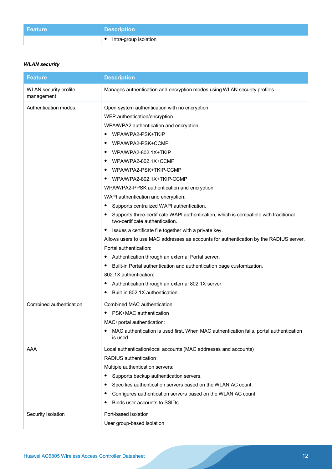| Feature | <b>Description</b>      |
|---------|-------------------------|
|         | • Intra-group isolation |

## *WLAN security*

| <b>Feature</b>                             | <b>Description</b>                                                                                                                                                                                                                                                                                                                                                                                                                                                                                                                                                                                                                                             |
|--------------------------------------------|----------------------------------------------------------------------------------------------------------------------------------------------------------------------------------------------------------------------------------------------------------------------------------------------------------------------------------------------------------------------------------------------------------------------------------------------------------------------------------------------------------------------------------------------------------------------------------------------------------------------------------------------------------------|
| <b>WLAN</b> security profile<br>management | Manages authentication and encryption modes using WLAN security profiles.                                                                                                                                                                                                                                                                                                                                                                                                                                                                                                                                                                                      |
| Authentication modes                       | Open system authentication with no encryption<br>WEP authentication/encryption<br>WPA/WPA2 authentication and encryption:<br>WPA/WPA2-PSK+TKIP<br>٠<br>WPA/WPA2-PSK+CCMP<br>WPA/WPA2-802.1X+TKIP<br>$\bullet$<br>WPA/WPA2-802.1X+CCMP<br>٠<br>WPA/WPA2-PSK+TKIP-CCMP<br>٠<br>WPA/WPA2-802.1X+TKIP-CCMP<br>$\bullet$<br>WPA/WPA2-PPSK authentication and encryption.<br>WAPI authentication and encryption:<br>Supports centralized WAPI authentication.<br>$\bullet$<br>Supports three-certificate WAPI authentication, which is compatible with traditional<br>٠<br>two-certificate authentication.<br>Issues a certificate file together with a private key. |
|                                            | Allows users to use MAC addresses as accounts for authentication by the RADIUS server.<br>Portal authentication:<br>Authentication through an external Portal server.<br>$\bullet$<br>Built-in Portal authentication and authentication page customization.<br>$\bullet$<br>802.1X authentication:<br>Authentication through an external 802.1X server.<br>$\bullet$<br>Built-in 802.1X authentication.<br>٠                                                                                                                                                                                                                                                   |
| Combined authentication                    | Combined MAC authentication:<br>PSK+MAC authentication<br>٠<br>MAC+portal authentication:<br>MAC authentication is used first. When MAC authentication fails, portal authentication<br>٠<br>is used.                                                                                                                                                                                                                                                                                                                                                                                                                                                           |
| AAA                                        | Local authentication/local accounts (MAC addresses and accounts)<br>RADIUS authentication<br>Multiple authentication servers:<br>Supports backup authentication servers.<br>٠<br>Specifies authentication servers based on the WLAN AC count.<br>$\bullet$<br>Configures authentication servers based on the WLAN AC count.<br>Binds user accounts to SSIDs.<br>٠                                                                                                                                                                                                                                                                                              |
| Security isolation                         | Port-based isolation<br>User group-based isolation                                                                                                                                                                                                                                                                                                                                                                                                                                                                                                                                                                                                             |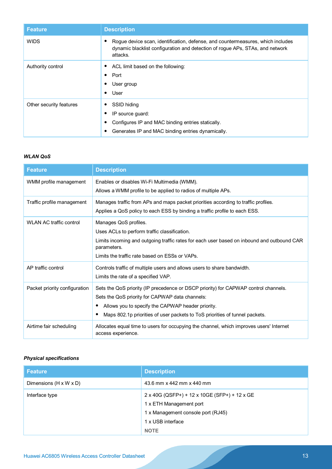| <b>Feature</b>          | <b>Description</b>                                                                                                                                                                |
|-------------------------|-----------------------------------------------------------------------------------------------------------------------------------------------------------------------------------|
| <b>WIDS</b>             | Rogue device scan, identification, defense, and countermeasures, which includes<br>٠<br>dynamic blacklist configuration and detection of rogue APs, STAs, and network<br>attacks. |
| Authority control       | ACL limit based on the following:<br>٠<br>Port<br>$\bullet$<br>User group<br>٠<br>User<br>٠                                                                                       |
| Other security features | SSID hiding<br>٠<br>IP source guard:<br>٠<br>Configures IP and MAC binding entries statically.<br>٠<br>Generates IP and MAC binding entries dynamically.<br>٠                     |

# *WLAN QoS*

| <b>Feature</b>                 | <b>Description</b>                                                                                                                                                                                                                                                              |
|--------------------------------|---------------------------------------------------------------------------------------------------------------------------------------------------------------------------------------------------------------------------------------------------------------------------------|
| WMM profile management         | Enables or disables Wi-Fi Multimedia (WMM).<br>Allows a WMM profile to be applied to radios of multiple APs.                                                                                                                                                                    |
| Traffic profile management     | Manages traffic from APs and maps packet priorities according to traffic profiles.<br>Applies a QoS policy to each ESS by binding a traffic profile to each ESS.                                                                                                                |
| <b>WLAN AC traffic control</b> | Manages QoS profiles.<br>Uses ACLs to perform traffic classification.<br>Limits incoming and outgoing traffic rates for each user based on inbound and outbound CAR<br>parameters.<br>Limits the traffic rate based on ESSs or VAPs.                                            |
| AP traffic control             | Controls traffic of multiple users and allows users to share bandwidth.<br>Limits the rate of a specified VAP.                                                                                                                                                                  |
| Packet priority configuration  | Sets the QoS priority (IP precedence or DSCP priority) for CAPWAP control channels.<br>Sets the QoS priority for CAPWAP data channels:<br>Allows you to specify the CAPWAP header priority.<br>Maps 802.1p priorities of user packets to ToS priorities of tunnel packets.<br>٠ |
| Airtime fair scheduling        | Allocates equal time to users for occupying the channel, which improves users' Internet<br>access experience.                                                                                                                                                                   |

# *Physical specifications*

| <b>Feature</b>                     | <b>Description</b>                                                                                                                                |
|------------------------------------|---------------------------------------------------------------------------------------------------------------------------------------------------|
| Dimensions $(H \times W \times D)$ | 43.6 mm x 442 mm x 440 mm                                                                                                                         |
| Interface type                     | 2 x 40G (QSFP+) + 12 x 10GE (SFP+) + 12 x GE<br>1 x ETH Management port<br>1 x Management console port (RJ45)<br>1 x USB interface<br><b>NOTE</b> |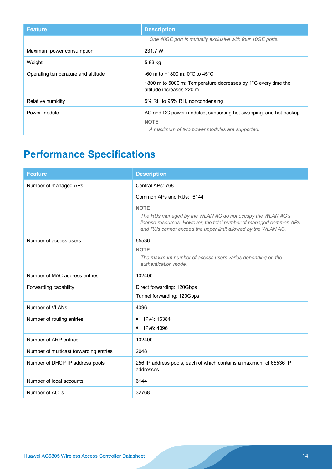| <b>Feature</b>                     | <b>Description</b>                                                                                                               |
|------------------------------------|----------------------------------------------------------------------------------------------------------------------------------|
|                                    | One 40GE port is mutually exclusive with four 10GE ports.                                                                        |
| Maximum power consumption          | 231.7 W                                                                                                                          |
| Weight                             | 5.83 kg                                                                                                                          |
| Operating temperature and altitude | $-60$ m to $+1800$ m: 0°C to 45°C<br>1800 m to 5000 m: Temperature decreases by 1°C every time the<br>altitude increases 220 m.  |
| Relative humidity                  | 5% RH to 95% RH, noncondensing                                                                                                   |
| Power module                       | AC and DC power modules, supporting hot swapping, and hot backup<br><b>NOTE</b><br>A maximum of two power modules are supported. |

# **Performance Specifications**

| <b>Feature</b>                         | <b>Description</b>                                                                                                                                                                                               |
|----------------------------------------|------------------------------------------------------------------------------------------------------------------------------------------------------------------------------------------------------------------|
| Number of managed APs                  | Central APs: 768                                                                                                                                                                                                 |
|                                        | Common APs and RUs: 6144                                                                                                                                                                                         |
|                                        | <b>NOTE</b><br>The RUs managed by the WLAN AC do not occupy the WLAN AC's<br>license resources. However, the total number of managed common APs<br>and RUs cannot exceed the upper limit allowed by the WLAN AC. |
| Number of access users                 | 65536                                                                                                                                                                                                            |
|                                        | <b>NOTE</b><br>The maximum number of access users varies depending on the<br>authentication mode.                                                                                                                |
| Number of MAC address entries          | 102400                                                                                                                                                                                                           |
| Forwarding capability                  | Direct forwarding: 120Gbps                                                                                                                                                                                       |
|                                        | Tunnel forwarding: 120Gbps                                                                                                                                                                                       |
| Number of VLANs                        | 4096                                                                                                                                                                                                             |
| Number of routing entries              | IPv4: 16384                                                                                                                                                                                                      |
|                                        | IPv6: 4096                                                                                                                                                                                                       |
| Number of ARP entries                  | 102400                                                                                                                                                                                                           |
| Number of multicast forwarding entries | 2048                                                                                                                                                                                                             |
| Number of DHCP IP address pools        | 256 IP address pools, each of which contains a maximum of 65536 IP<br>addresses                                                                                                                                  |
| Number of local accounts               | 6144                                                                                                                                                                                                             |
| Number of ACLs                         | 32768                                                                                                                                                                                                            |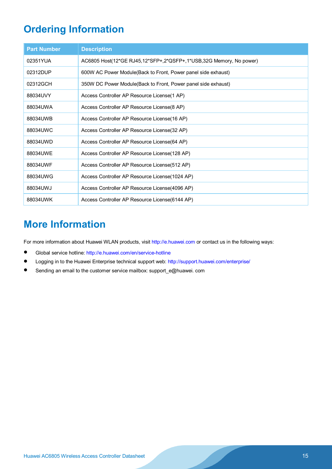# **Ordering Information**

| <b>Part Number</b> | <b>Description</b>                                                 |
|--------------------|--------------------------------------------------------------------|
| 02351YUA           | AC6805 Host(12*GE RJ45,12*SFP+,2*QSFP+,1*USB,32G Memory, No power) |
| 02312DUP           | 600W AC Power Module (Back to Front, Power panel side exhaust)     |
| 02312GCH           | 350W DC Power Module(Back to Front, Power panel side exhaust)      |
| 88034UVY           | Access Controller AP Resource License(1 AP)                        |
| 88034UWA           | Access Controller AP Resource License(8 AP)                        |
| 88034UWB           | Access Controller AP Resource License (16 AP)                      |
| 88034UWC           | Access Controller AP Resource License(32 AP)                       |
| 88034UWD           | Access Controller AP Resource License(64 AP)                       |
| 88034UWE           | Access Controller AP Resource License (128 AP)                     |
| 88034UWF           | Access Controller AP Resource License(512 AP)                      |
| 88034UWG           | Access Controller AP Resource License(1024 AP)                     |
| 88034UWJ           | Access Controller AP Resource License(4096 AP)                     |
| 88034UWK           | Access Controller AP Resource License (6144 AP)                    |

# **More Information**

For more information about Huawei WLAN products, visit [http://e.huawei.com](http://e.huawei.com/) or contact us in the following ways:

- Global service hotline:<http://e.huawei.com/en/service-hotline>
- Logging in to the Huawei Enterprise technical support web: <http://support.huawei.com/enterprise/>
- Sending an email to the customer service mailbox: support\_e@huawei. com